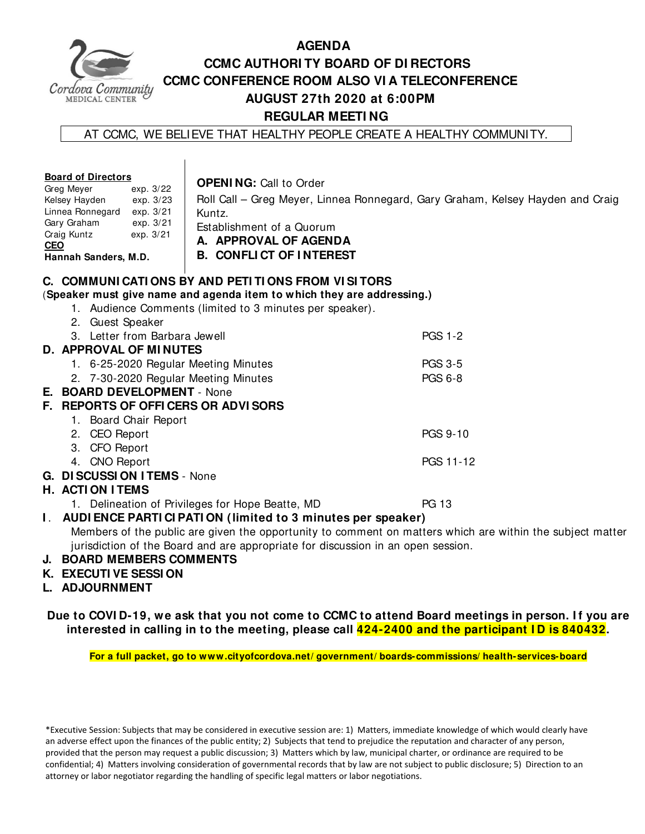

## **AGENDA CCMC AUTHORI TY BOARD OF DI RECTORS CCMC CONFERENCE ROOM ALSO VI A TELECONFERENCE AUGUST 27th 2020 at 6:00PM REGULAR MEETI NG**

AT CCMC, WE BELIEVE THAT HEALTHY PEOPLE CREATE A HEALTHY COMMUNITY.

| <b>Board of Directors</b><br>Greg Meyer<br>exp. 3/22<br>Kelsey Hayden<br>exp. 3/23<br>Linnea Ronnegard<br>exp. 3/21<br>Gary Graham<br>exp. 3/21<br>Craig Kuntz<br>exp. 3/21<br><b>CEO</b><br>Hannah Sanders, M.D. | <b>OPENING: Call to Order</b><br>Kuntz.<br>Establishment of a Quorum<br>A. APPROVAL OF AGENDA<br><b>B. CONFLICT OF INTEREST</b>    | Roll Call - Greg Meyer, Linnea Ronnegard, Gary Graham, Kelsey Hayden and Craig                            |  |  |  |  |
|-------------------------------------------------------------------------------------------------------------------------------------------------------------------------------------------------------------------|------------------------------------------------------------------------------------------------------------------------------------|-----------------------------------------------------------------------------------------------------------|--|--|--|--|
|                                                                                                                                                                                                                   | C. COMMUNICATIONS BY AND PETITIONS FROM VISITORS                                                                                   |                                                                                                           |  |  |  |  |
|                                                                                                                                                                                                                   | (Speaker must give name and agenda item to which they are addressing.)<br>1. Audience Comments (limited to 3 minutes per speaker). |                                                                                                           |  |  |  |  |
| 2. Guest Speaker                                                                                                                                                                                                  |                                                                                                                                    |                                                                                                           |  |  |  |  |
| 3. Letter from Barbara Jewell                                                                                                                                                                                     |                                                                                                                                    | <b>PGS 1-2</b>                                                                                            |  |  |  |  |
|                                                                                                                                                                                                                   | <b>D. APPROVAL OF MINUTES</b>                                                                                                      |                                                                                                           |  |  |  |  |
| 1. 6-25-2020 Regular Meeting Minutes                                                                                                                                                                              |                                                                                                                                    | <b>PGS 3-5</b>                                                                                            |  |  |  |  |
| <b>PGS 6-8</b><br>2. 7-30-2020 Regular Meeting Minutes                                                                                                                                                            |                                                                                                                                    |                                                                                                           |  |  |  |  |
| E. BOARD DEVELOPMENT - None                                                                                                                                                                                       |                                                                                                                                    |                                                                                                           |  |  |  |  |
| F. REPORTS OF OFFICERS OR ADVISORS                                                                                                                                                                                |                                                                                                                                    |                                                                                                           |  |  |  |  |
| 1. Board Chair Report                                                                                                                                                                                             |                                                                                                                                    |                                                                                                           |  |  |  |  |
| 2. CEO Report                                                                                                                                                                                                     |                                                                                                                                    | PGS 9-10                                                                                                  |  |  |  |  |
| 3. CFO Report                                                                                                                                                                                                     |                                                                                                                                    |                                                                                                           |  |  |  |  |
| 4. CNO Report                                                                                                                                                                                                     |                                                                                                                                    | PGS 11-12                                                                                                 |  |  |  |  |
| G. DISCUSSION ITEMS - None                                                                                                                                                                                        |                                                                                                                                    |                                                                                                           |  |  |  |  |
| <b>H. ACTION ITEMS</b>                                                                                                                                                                                            |                                                                                                                                    |                                                                                                           |  |  |  |  |
|                                                                                                                                                                                                                   | 1. Delineation of Privileges for Hope Beatte, MD                                                                                   | <b>PG 13</b>                                                                                              |  |  |  |  |
| AUDI ENCE PARTI CI PATI ON (limited to 3 minutes per speaker)<br>L.                                                                                                                                               |                                                                                                                                    |                                                                                                           |  |  |  |  |
|                                                                                                                                                                                                                   |                                                                                                                                    | Members of the public are given the opportunity to comment on matters which are within the subject matter |  |  |  |  |
|                                                                                                                                                                                                                   | jurisdiction of the Board and are appropriate for discussion in an open session.                                                   |                                                                                                           |  |  |  |  |
| <b>J. BOARD MEMBERS COMMENTS</b>                                                                                                                                                                                  |                                                                                                                                    |                                                                                                           |  |  |  |  |

- **K. EXECUTI VE SESSI ON**
- **L. ADJOURNMENT**

**Due to COVI D-19, we ask that you not come to CCMC to attend Board meetings in person. I f you are interested in calling in to the meeting, please call 424-2400 and the participant I D is 840432.** 

**For a full packet, go to www.cityofcordova.net/ government/ boards-commissions/ health-services-board** 

\*Executive Session: Subjects that may be considered in executive session are: 1) Matters, immediate knowledge of which would clearly have an adverse effect upon the finances of the public entity; 2) Subjects that tend to prejudice the reputation and character of any person, provided that the person may request a public discussion; 3) Matters which by law, municipal charter, or ordinance are required to be confidential; 4) Matters involving consideration of governmental records that by law are not subject to public disclosure; 5) Direction to an attorney or labor negotiator regarding the handling of specific legal matters or labor negotiations.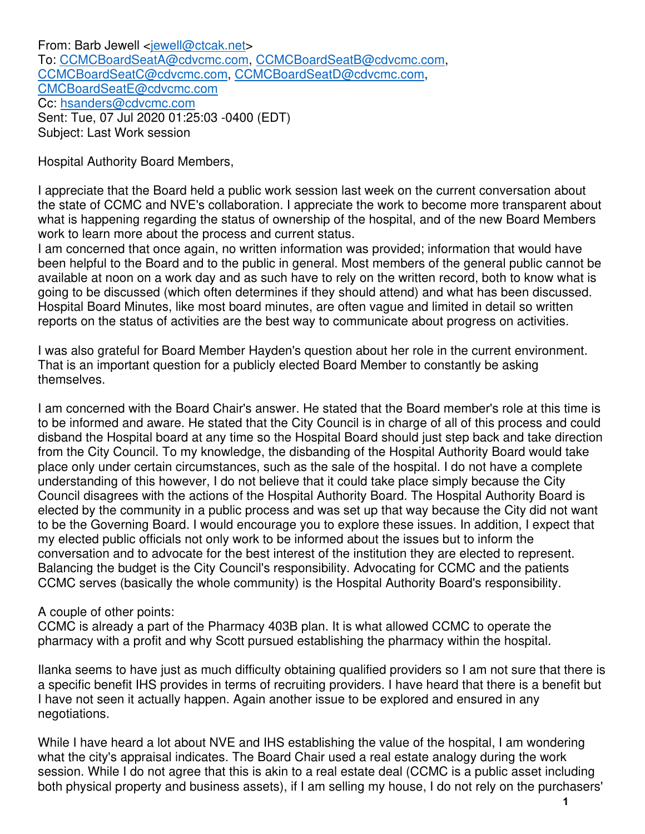From: Barb Jewell <jewell@ctcak.net> To: CCMCBoardSeatA@cdvcmc.com, CCMCBoardSeatB@cdvcmc.com, CCMCBoardSeatC@cdvcmc.com, CCMCBoardSeatD@cdvcmc.com, CMCBoardSeatE@cdvcmc.com Cc: hsanders@cdvcmc.com Sent: Tue, 07 Jul 2020 01:25:03 -0400 (EDT) Subject: Last Work session

Hospital Authority Board Members,

I appreciate that the Board held a public work session last week on the current conversation about the state of CCMC and NVE's collaboration. I appreciate the work to become more transparent about what is happening regarding the status of ownership of the hospital, and of the new Board Members work to learn more about the process and current status.

I am concerned that once again, no written information was provided; information that would have been helpful to the Board and to the public in general. Most members of the general public cannot be available at noon on a work day and as such have to rely on the written record, both to know what is going to be discussed (which often determines if they should attend) and what has been discussed. Hospital Board Minutes, like most board minutes, are often vague and limited in detail so written reports on the status of activities are the best way to communicate about progress on activities.

I was also grateful for Board Member Hayden's question about her role in the current environment. That is an important question for a publicly elected Board Member to constantly be asking themselves.

I am concerned with the Board Chair's answer. He stated that the Board member's role at this time is to be informed and aware. He stated that the City Council is in charge of all of this process and could disband the Hospital board at any time so the Hospital Board should just step back and take direction from the City Council. To my knowledge, the disbanding of the Hospital Authority Board would take place only under certain circumstances, such as the sale of the hospital. I do not have a complete understanding of this however, I do not believe that it could take place simply because the City Council disagrees with the actions of the Hospital Authority Board. The Hospital Authority Board is elected by the community in a public process and was set up that way because the City did not want to be the Governing Board. I would encourage you to explore these issues. In addition, I expect that my elected public officials not only work to be informed about the issues but to inform the conversation and to advocate for the best interest of the institution they are elected to represent. Balancing the budget is the City Council's responsibility. Advocating for CCMC and the patients CCMC serves (basically the whole community) is the Hospital Authority Board's responsibility.

#### A couple of other points:

CCMC is already a part of the Pharmacy 403B plan. It is what allowed CCMC to operate the pharmacy with a profit and why Scott pursued establishing the pharmacy within the hospital.

Ilanka seems to have just as much difficulty obtaining qualified providers so I am not sure that there is a specific benefit IHS provides in terms of recruiting providers. I have heard that there is a benefit but I have not seen it actually happen. Again another issue to be explored and ensured in any negotiations.

While I have heard a lot about NVE and IHS establishing the value of the hospital, I am wondering what the city's appraisal indicates. The Board Chair used a real estate analogy during the work session. While I do not agree that this is akin to a real estate deal (CCMC is a public asset including both physical property and business assets), if I am selling my house, I do not rely on the purchasers'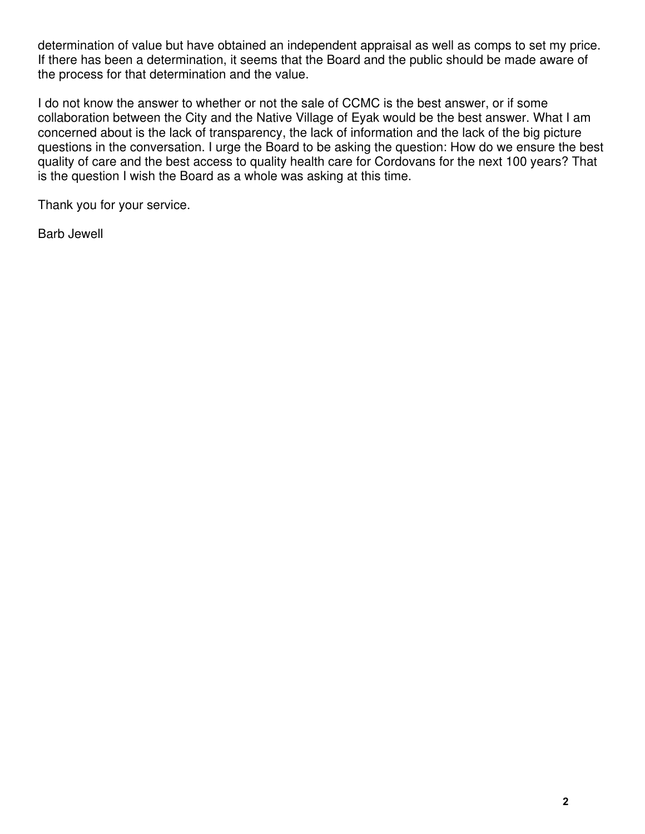determination of value but have obtained an independent appraisal as well as comps to set my price. If there has been a determination, it seems that the Board and the public should be made aware of the process for that determination and the value.

I do not know the answer to whether or not the sale of CCMC is the best answer, or if some collaboration between the City and the Native Village of Eyak would be the best answer. What I am concerned about is the lack of transparency, the lack of information and the lack of the big picture questions in the conversation. I urge the Board to be asking the question: How do we ensure the best quality of care and the best access to quality health care for Cordovans for the next 100 years? That is the question I wish the Board as a whole was asking at this time.

Thank you for your service.

Barb Jewell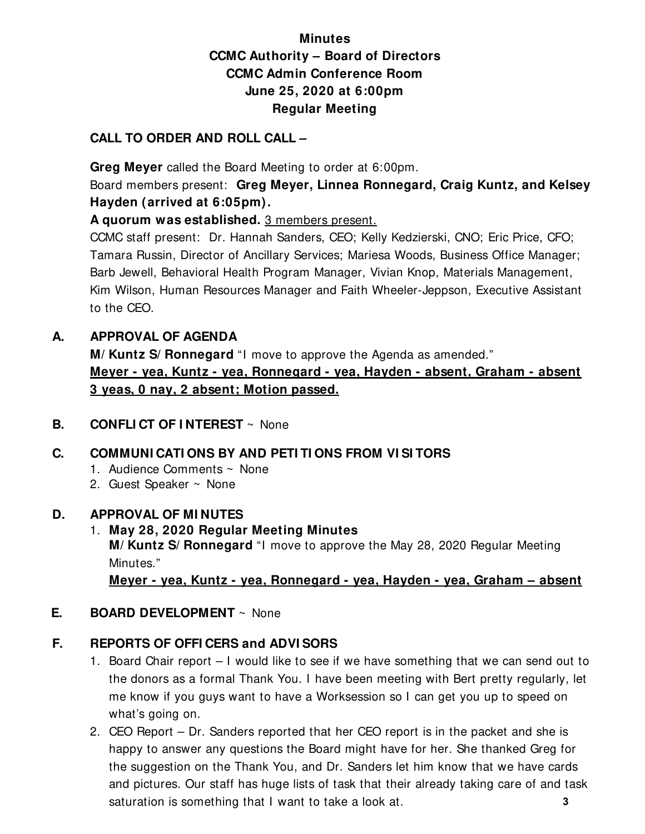# **Minutes CCMC Authority – Board of Directors CCMC Admin Conference Room June 25, 2020 at 6:00pm Regular Meeting**

#### **CALL TO ORDER AND ROLL CALL –**

 **Greg Meyer** called the Board Meeting to order at 6:00pm.

Board members present: **Greg Meyer, Linnea Ronnegard, Craig Kuntz, and Kelsey Hayden (arrived at 6:05pm).** 

**A quorum was established.** 3 members present.

CCMC staff present: Dr. Hannah Sanders, CEO; Kelly Kedzierski, CNO; Eric Price, CFO; Tamara Russin, Director of Ancillary Services; Mariesa Woods, Business Office Manager; Barb Jewell, Behavioral Health Program Manager, Vivian Knop, Materials Management, Kim Wilson, Human Resources Manager and Faith Wheeler-Jeppson, Executive Assistant to the CEO.

#### **A. APPROVAL OF AGENDA**

**M/ Kuntz S/ Ronnegard** "I move to approve the Agenda as amended." **Meyer - yea, Kuntz - yea, Ronnegard - yea, Hayden - absent, Graham - absent 3 yeas, 0 nay, 2 absent; Motion passed.** 

#### **B. CONFLI CT OF I NTEREST** ~ None

## **C. COMMUNI CATI ONS BY AND PETI TI ONS FROM VI SI TORS**

- 1. Audience Comments ~ None
- 2. Guest Speaker ~ None

#### **D. APPROVAL OF MI NUTES**

1. **May 28, 2020 Regular Meeting Minutes M/ Kuntz S/ Ronnegard** "I move to approve the May 28, 2020 Regular Meeting Minutes."

**Meyer - yea, Kuntz - yea, Ronnegard - yea, Hayden - yea, Graham – absent** 

#### **E. BOARD DEVELOPMENT** ~ None

# **F. REPORTS OF OFFI CERS and ADVI SORS**

- 1. Board Chair report I would like to see if we have something that we can send out to the donors as a formal Thank You. I have been meeting with Bert pretty regularly, let me know if you guys want to have a Worksession so I can get you up to speed on what's going on.
- 2. CEO Report Dr. Sanders reported that her CEO report is in the packet and she is happy to answer any questions the Board might have for her. She thanked Greg for the suggestion on the Thank You, and Dr. Sanders let him know that we have cards and pictures. Our staff has huge lists of task that their already taking care of and task saturation is something that I want to take a look at. **3**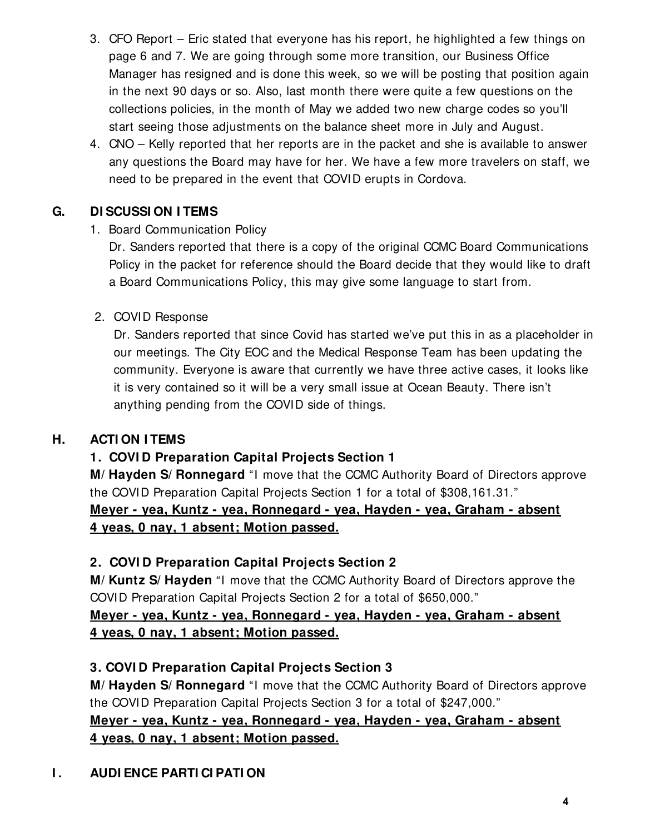- 3. CFO Report Eric stated that everyone has his report, he highlighted a few things on page 6 and 7. We are going through some more transition, our Business Office Manager has resigned and is done this week, so we will be posting that position again in the next 90 days or so. Also, last month there were quite a few questions on the collections policies, in the month of May we added two new charge codes so you'll start seeing those adjustments on the balance sheet more in July and August.
- 4. CNO Kelly reported that her reports are in the packet and she is available to answer any questions the Board may have for her. We have a few more travelers on staff, we need to be prepared in the event that COVID erupts in Cordova.

## **G. DI SCUSSI ON I TEMS**

## 1. Board Communication Policy

Dr. Sanders reported that there is a copy of the original CCMC Board Communications Policy in the packet for reference should the Board decide that they would like to draft a Board Communications Policy, this may give some language to start from.

#### 2. COVID Response

Dr. Sanders reported that since Covid has started we've put this in as a placeholder in our meetings. The City EOC and the Medical Response Team has been updating the community. Everyone is aware that currently we have three active cases, it looks like it is very contained so it will be a very small issue at Ocean Beauty. There isn't anything pending from the COVID side of things.

## **H. ACTI ON I TEMS**

## **1. COVI D Preparation Capital Projects Section 1**

**M/ Hayden S/ Ronnegard** "I move that the CCMC Authority Board of Directors approve the COVID Preparation Capital Projects Section 1 for a total of \$308,161.31."

# **Meyer - yea, Kuntz - yea, Ronnegard - yea, Hayden - yea, Graham - absent 4 yeas, 0 nay, 1 absent; Motion passed.**

## **2. COVI D Preparation Capital Projects Section 2**

**M/ Kuntz S/ Hayden** "I move that the CCMC Authority Board of Directors approve the COVID Preparation Capital Projects Section 2 for a total of \$650,000."

## **Meyer - yea, Kuntz - yea, Ronnegard - yea, Hayden - yea, Graham - absent 4 yeas, 0 nay, 1 absent; Motion passed.**

## **3. COVI D Preparation Capital Projects Section 3**

**M/ Hayden S/ Ronnegard** "I move that the CCMC Authority Board of Directors approve the COVID Preparation Capital Projects Section 3 for a total of \$247,000."

## **Meyer - yea, Kuntz - yea, Ronnegard - yea, Hayden - yea, Graham - absent 4 yeas, 0 nay, 1 absent; Motion passed.**

# **I . AUDI ENCE PARTI CI PATI ON**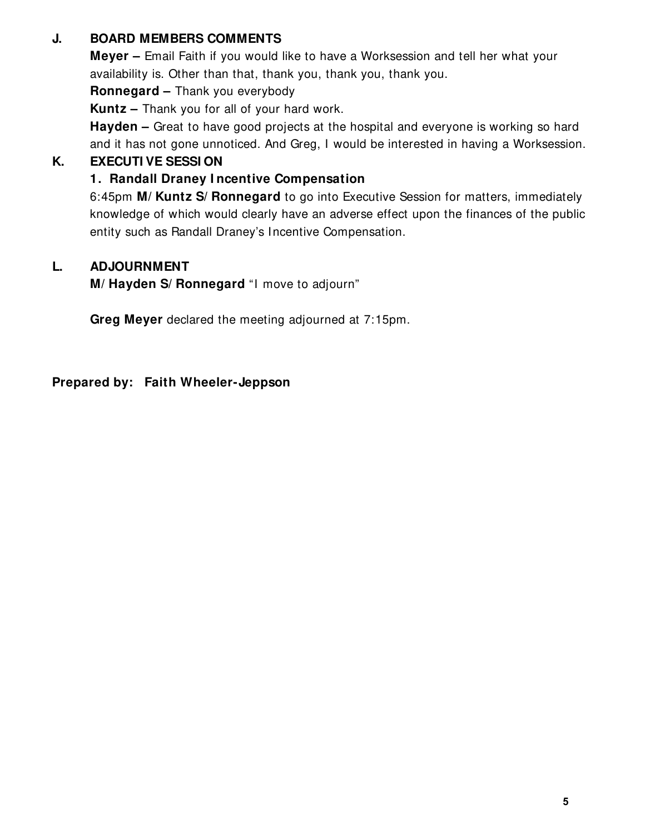## **J. BOARD MEMBERS COMMENTS**

**Meyer –** Email Faith if you would like to have a Worksession and tell her what your availability is. Other than that, thank you, thank you, thank you.

**Ronnegard –** Thank you everybody

**Kuntz –** Thank you for all of your hard work.

**Hayden** – Great to have good projects at the hospital and everyone is working so hard and it has not gone unnoticed. And Greg, I would be interested in having a Worksession.

# **K. EXECUTI VE SESSI ON**

# **1. Randall Draney I ncentive Compensation**

6:45pm **M/ Kuntz S/ Ronnegard** to go into Executive Session for matters, immediately knowledge of which would clearly have an adverse effect upon the finances of the public entity such as Randall Draney's Incentive Compensation.

## **L. ADJOURNMENT**

**M/ Hayden S/ Ronnegard** "I move to adjourn"

**Greg Meyer** declared the meeting adjourned at 7:15pm.

**Prepared by: Faith Wheeler-Jeppson**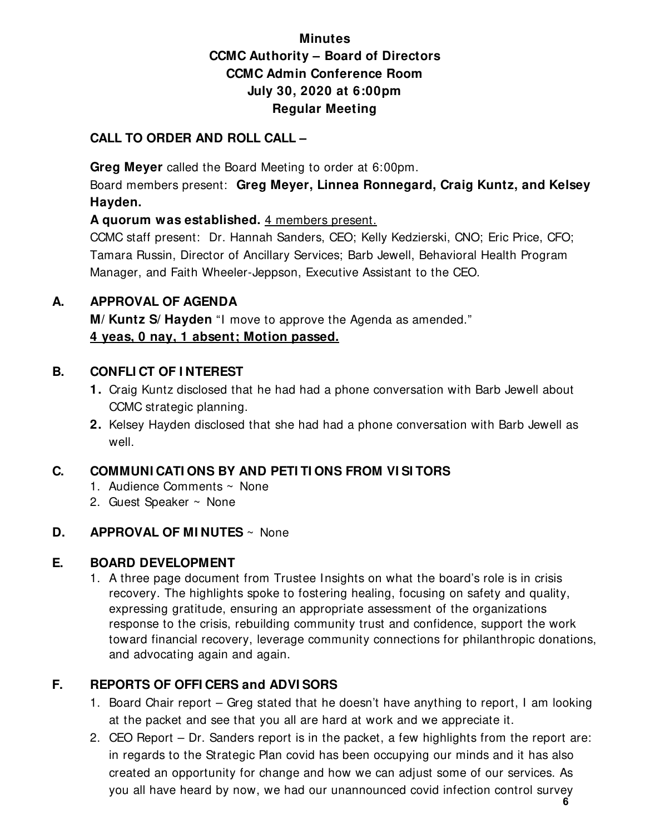# **Minutes CCMC Authority – Board of Directors CCMC Admin Conference Room July 30, 2020 at 6:00pm Regular Meeting**

## **CALL TO ORDER AND ROLL CALL –**

 **Greg Meyer** called the Board Meeting to order at 6:00pm.

Board members present: **Greg Meyer, Linnea Ronnegard, Craig Kuntz, and Kelsey Hayden.** 

**A quorum was established.** 4 members present.

CCMC staff present: Dr. Hannah Sanders, CEO; Kelly Kedzierski, CNO; Eric Price, CFO; Tamara Russin, Director of Ancillary Services; Barb Jewell, Behavioral Health Program Manager, and Faith Wheeler-Jeppson, Executive Assistant to the CEO.

#### **A. APPROVAL OF AGENDA**

**M/ Kuntz S/ Hayden** "I move to approve the Agenda as amended." **4 yeas, 0 nay, 1 absent; Motion passed.** 

#### **B. CONFLI CT OF I NTEREST**

- **1.** Craig Kuntz disclosed that he had had a phone conversation with Barb Jewell about CCMC strategic planning.
- **2.** Kelsey Hayden disclosed that she had had a phone conversation with Barb Jewell as well.

## **C. COMMUNI CATI ONS BY AND PETI TI ONS FROM VI SI TORS**

- 1. Audience Comments ~ None
- 2. Guest Speaker ~ None

## **D. APPROVAL OF MI NUTES** ~ None

## **E. BOARD DEVELOPMENT**

1. A three page document from Trustee Insights on what the board's role is in crisis recovery. The highlights spoke to fostering healing, focusing on safety and quality, expressing gratitude, ensuring an appropriate assessment of the organizations response to the crisis, rebuilding community trust and confidence, support the work toward financial recovery, leverage community connections for philanthropic donations, and advocating again and again.

# **F. REPORTS OF OFFI CERS and ADVI SORS**

- 1. Board Chair report Greg stated that he doesn't have anything to report, I am looking at the packet and see that you all are hard at work and we appreciate it.
- 2. CEO Report Dr. Sanders report is in the packet, a few highlights from the report are: in regards to the Strategic Plan covid has been occupying our minds and it has also created an opportunity for change and how we can adjust some of our services. As you all have heard by now, we had our unannounced covid infection control survey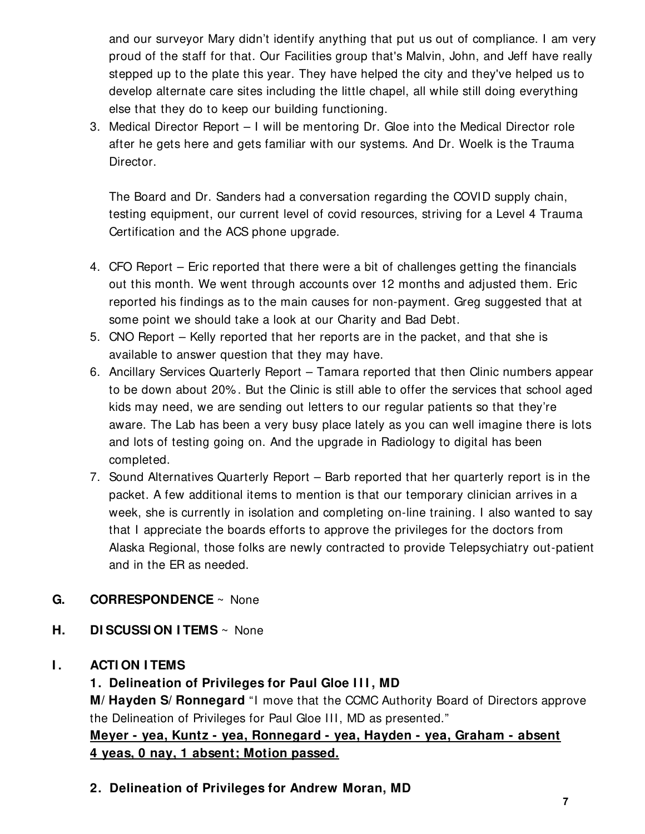and our surveyor Mary didn't identify anything that put us out of compliance. I am very proud of the staff for that. Our Facilities group that's Malvin, John, and Jeff have really stepped up to the plate this year. They have helped the city and they've helped us to develop alternate care sites including the little chapel, all while still doing everything else that they do to keep our building functioning.

3. Medical Director Report – I will be mentoring Dr. Gloe into the Medical Director role after he gets here and gets familiar with our systems. And Dr. Woelk is the Trauma Director.

The Board and Dr. Sanders had a conversation regarding the COVID supply chain, testing equipment, our current level of covid resources, striving for a Level 4 Trauma Certification and the ACS phone upgrade.

- 4. CFO Report Eric reported that there were a bit of challenges getting the financials out this month. We went through accounts over 12 months and adjusted them. Eric reported his findings as to the main causes for non-payment. Greg suggested that at some point we should take a look at our Charity and Bad Debt.
- 5. CNO Report Kelly reported that her reports are in the packet, and that she is available to answer question that they may have.
- 6. Ancillary Services Quarterly Report Tamara reported that then Clinic numbers appear to be down about 20% . But the Clinic is still able to offer the services that school aged kids may need, we are sending out letters to our regular patients so that they're aware. The Lab has been a very busy place lately as you can well imagine there is lots and lots of testing going on. And the upgrade in Radiology to digital has been completed.
- 7. Sound Alternatives Quarterly Report Barb reported that her quarterly report is in the packet. A few additional items to mention is that our temporary clinician arrives in a week, she is currently in isolation and completing on-line training. I also wanted to say that I appreciate the boards efforts to approve the privileges for the doctors from Alaska Regional, those folks are newly contracted to provide Telepsychiatry out-patient and in the ER as needed.

## **G. CORRESPONDENCE** ~ None

**H. DI SCUSSI ON I TEMS** ~ None

# **I . ACTI ON I TEMS**

# **1. Delineation of Privileges for Paul Gloe I I I , MD**

**M/ Hayden S/ Ronnegard** "I move that the CCMC Authority Board of Directors approve the Delineation of Privileges for Paul Gloe III, MD as presented."

**Meyer - yea, Kuntz - yea, Ronnegard - yea, Hayden - yea, Graham - absent 4 yeas, 0 nay, 1 absent; Motion passed.** 

**2. Delineation of Privileges for Andrew Moran, MD**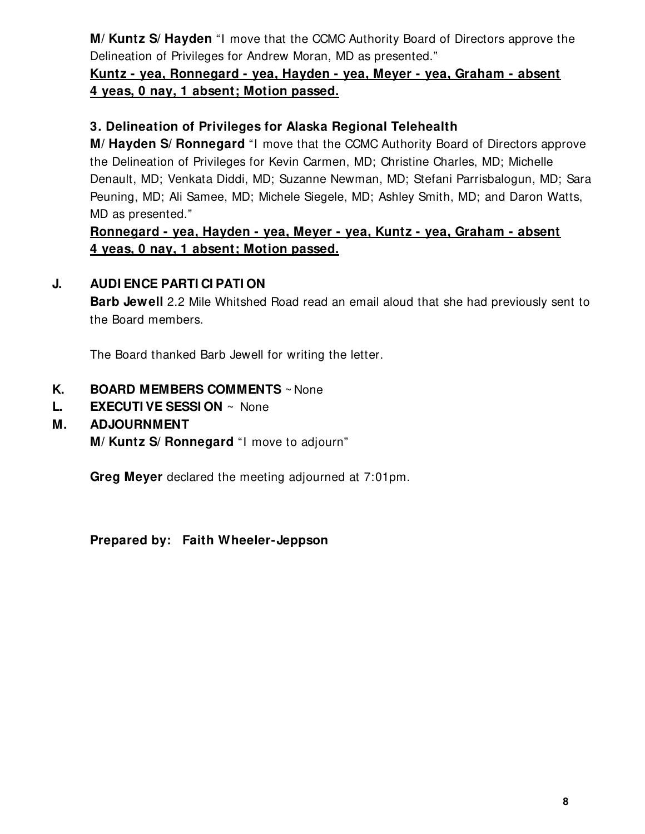**M/ Kuntz S/ Hayden** "I move that the CCMC Authority Board of Directors approve the Delineation of Privileges for Andrew Moran, MD as presented."

# **Kuntz - yea, Ronnegard - yea, Hayden - yea, Meyer - yea, Graham - absent 4 yeas, 0 nay, 1 absent; Motion passed.**

## **3. Delineation of Privileges for Alaska Regional Telehealth**

**M/ Hayden S/ Ronnegard** "I move that the CCMC Authority Board of Directors approve the Delineation of Privileges for Kevin Carmen, MD; Christine Charles, MD; Michelle Denault, MD; Venkata Diddi, MD; Suzanne Newman, MD; Stefani Parrisbalogun, MD; Sara Peuning, MD; Ali Samee, MD; Michele Siegele, MD; Ashley Smith, MD; and Daron Watts, MD as presented."

#### **Ronnegard - yea, Hayden - yea, Meyer - yea, Kuntz - yea, Graham - absent 4 yeas, 0 nay, 1 absent; Motion passed.**

#### **J. AUDI ENCE PARTI CI PATI ON**

**Barb Jewell** 2.2 Mile Whitshed Road read an email aloud that she had previously sent to the Board members.

The Board thanked Barb Jewell for writing the letter.

#### **K. BOARD MEMBERS COMMENTS** ~ None

**L. EXECUTI VE SESSI ON** ~ None

#### **M. ADJOURNMENT**

**M/ Kuntz S/ Ronnegard** "I move to adjourn"

**Greg Meyer** declared the meeting adjourned at 7:01pm.

**Prepared by: Faith Wheeler-Jeppson**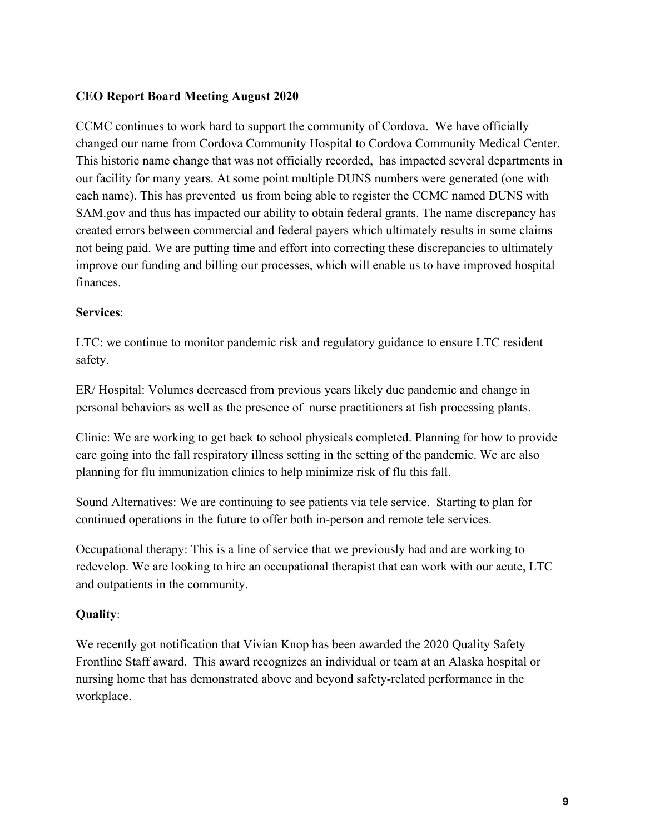#### **CEO Report Board Meeting August 2020**

CCMC continues to work hard to support the community of Cordova. We have officially changed our name from Cordova Community Hospital to Cordova Community Medical Center. This historic name change that was not officially recorded, has impacted several departments in our facility for many years. At some point multiple DUNS numbers were generated (one with each name). This has prevented us from being able to register the CCMC named DUNS with SAM.gov and thus has impacted our ability to obtain federal grants. The name discrepancy has created errors between commercial and federal payers which ultimately results in some claims not being paid. We are putting time and effort into correcting these discrepancies to ultimately improve our funding and billing our processes, which will enable us to have improved hospital finances.

#### **Services**:

LTC: we continue to monitor pandemic risk and regulatory guidance to ensure LTC resident safety.

ER/ Hospital: Volumes decreased from previous years likely due pandemic and change in personal behaviors as well as the presence of nurse practitioners at fish processing plants.

Clinic: We are working to get back to school physicals completed. Planning for how to provide care going into the fall respiratory illness setting in the setting of the pandemic. We are also planning for flu immunization clinics to help minimize risk of flu this fall.

Sound Alternatives: We are continuing to see patients via tele service. Starting to plan for continued operations in the future to offer both in-person and remote tele services.

Occupational therapy: This is a line of service that we previously had and are working to redevelop. We are looking to hire an occupational therapist that can work with our acute, LTC and outpatients in the community.

#### **Quality**:

We recently got notification that Vivian Knop has been awarded the 2020 Quality Safety Frontline Staff award. This award recognizes an individual or team at an Alaska hospital or nursing home that has demonstrated above and beyond safety-related performance in the workplace.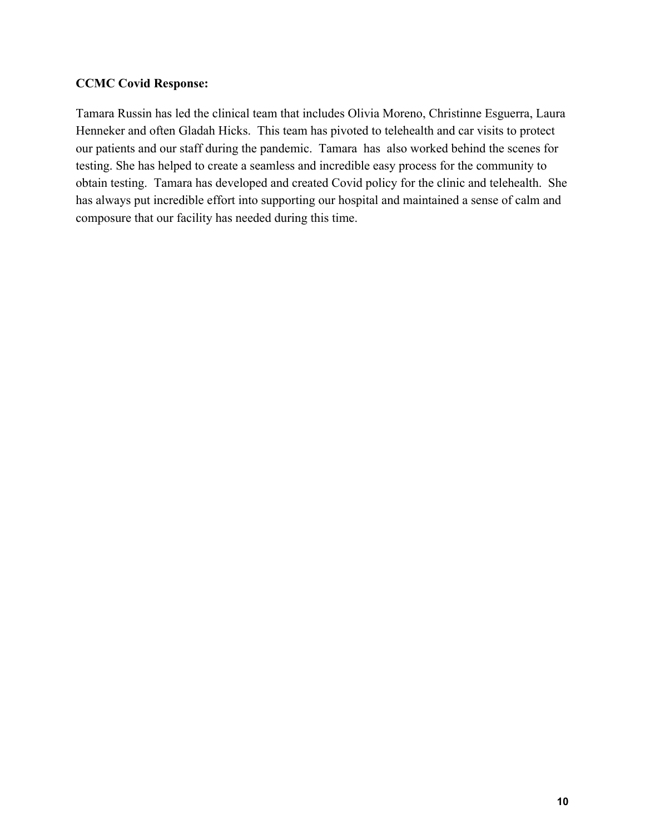#### **CCMC Covid Response:**

Tamara Russin has led the clinical team that includes Olivia Moreno, Christinne Esguerra, Laura Henneker and often Gladah Hicks. This team has pivoted to telehealth and car visits to protect our patients and our staff during the pandemic. Tamara has also worked behind the scenes for testing. She has helped to create a seamless and incredible easy process for the community to obtain testing. Tamara has developed and created Covid policy for the clinic and telehealth. She has always put incredible effort into supporting our hospital and maintained a sense of calm and composure that our facility has needed during this time.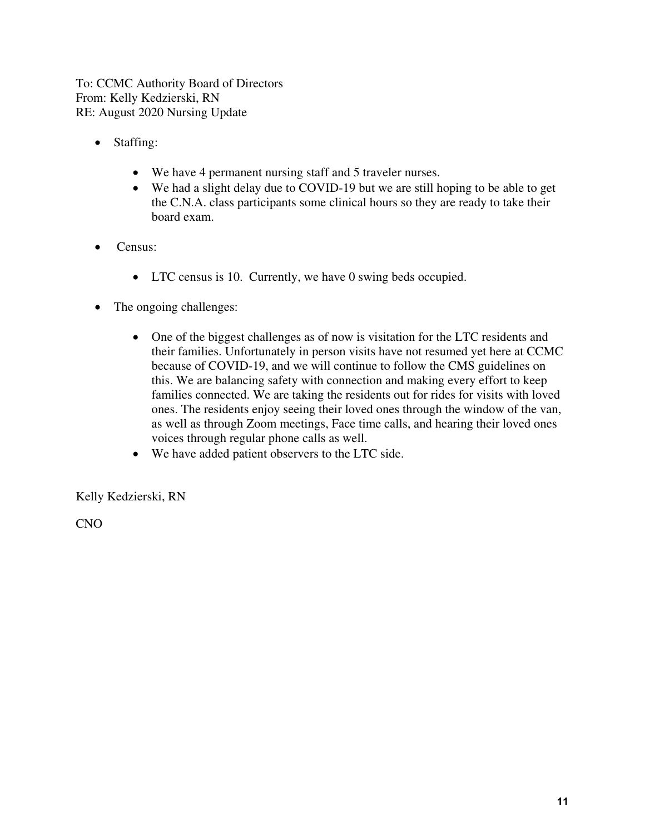To: CCMC Authority Board of Directors From: Kelly Kedzierski, RN RE: August 2020 Nursing Update

- Staffing:
	- We have 4 permanent nursing staff and 5 traveler nurses.
	- We had a slight delay due to COVID-19 but we are still hoping to be able to get the C.N.A. class participants some clinical hours so they are ready to take their board exam.
- Census:
	- LTC census is 10. Currently, we have 0 swing beds occupied.
- The ongoing challenges:
	- One of the biggest challenges as of now is visitation for the LTC residents and their families. Unfortunately in person visits have not resumed yet here at CCMC because of COVID-19, and we will continue to follow the CMS guidelines on this. We are balancing safety with connection and making every effort to keep families connected. We are taking the residents out for rides for visits with loved ones. The residents enjoy seeing their loved ones through the window of the van, as well as through Zoom meetings, Face time calls, and hearing their loved ones voices through regular phone calls as well.
	- We have added patient observers to the LTC side.

Kelly Kedzierski, RN

CNO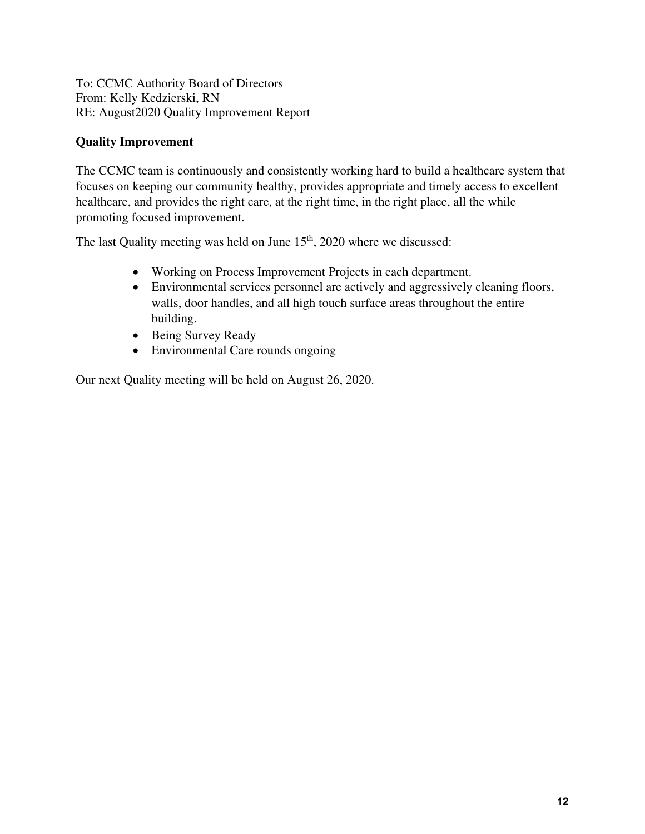To: CCMC Authority Board of Directors From: Kelly Kedzierski, RN RE: August2020 Quality Improvement Report

#### **Quality Improvement**

The CCMC team is continuously and consistently working hard to build a healthcare system that focuses on keeping our community healthy, provides appropriate and timely access to excellent healthcare, and provides the right care, at the right time, in the right place, all the while promoting focused improvement.

The last Quality meeting was held on June  $15<sup>th</sup>$ , 2020 where we discussed:

- Working on Process Improvement Projects in each department.
- Environmental services personnel are actively and aggressively cleaning floors, walls, door handles, and all high touch surface areas throughout the entire building.
- Being Survey Ready
- Environmental Care rounds ongoing

Our next Quality meeting will be held on August 26, 2020.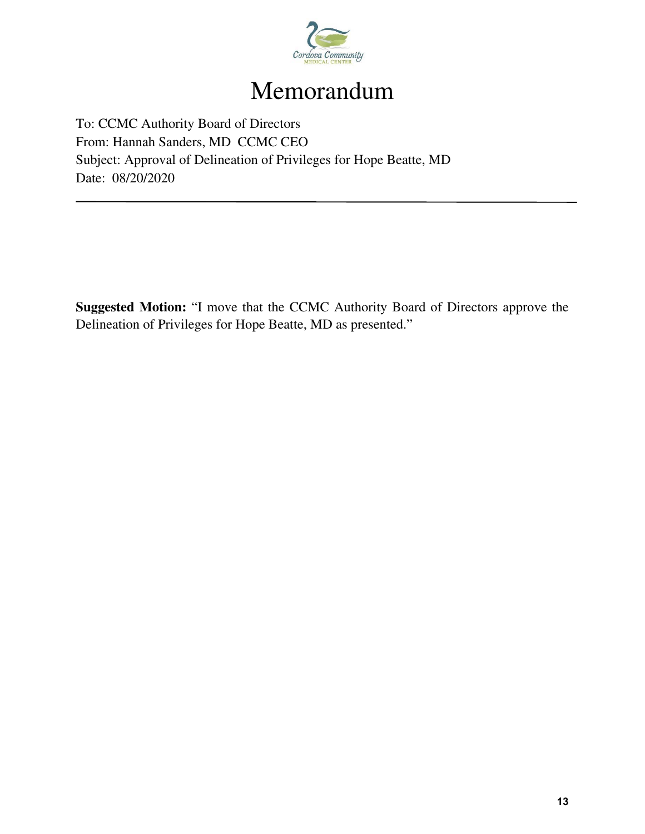

# Memorandum

To: CCMC Authority Board of Directors From: Hannah Sanders, MD CCMC CEO Subject: Approval of Delineation of Privileges for Hope Beatte, MD Date: 08/20/2020

**Suggested Motion:** "I move that the CCMC Authority Board of Directors approve the Delineation of Privileges for Hope Beatte, MD as presented."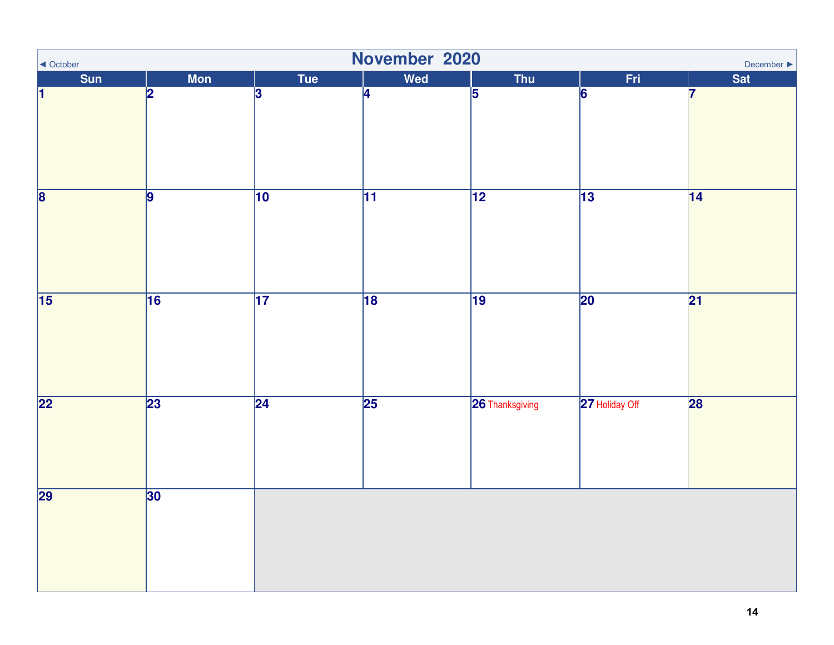| November 2020<br>◀ October<br>December $\blacktriangleright$ |                |                 |                 |                 |                 |                 |  |  |
|--------------------------------------------------------------|----------------|-----------------|-----------------|-----------------|-----------------|-----------------|--|--|
| <b>Sun</b>                                                   | <b>Mon</b>     | Tue             | Wed             | Thu             | Fri             | Sat             |  |  |
| $\vert$ 1                                                    | 2              | 3               | $\overline{4}$  | 5               | 6               | 7               |  |  |
| $\overline{\mathbf{8}}$                                      | $\overline{9}$ | $\overline{10}$ | $\overline{11}$ | $\overline{12}$ | $\overline{13}$ | 14              |  |  |
| $\overline{15}$                                              | 16             | $\overline{17}$ | 18              | $\overline{19}$ | $\overline{20}$ | $\overline{21}$ |  |  |
| $\overline{22}$                                              | 23             | $\overline{24}$ | $\overline{25}$ | 26 Thanksgiving | 27 Holiday Off  | 28              |  |  |
| $\overline{29}$                                              | 30             |                 |                 |                 |                 |                 |  |  |